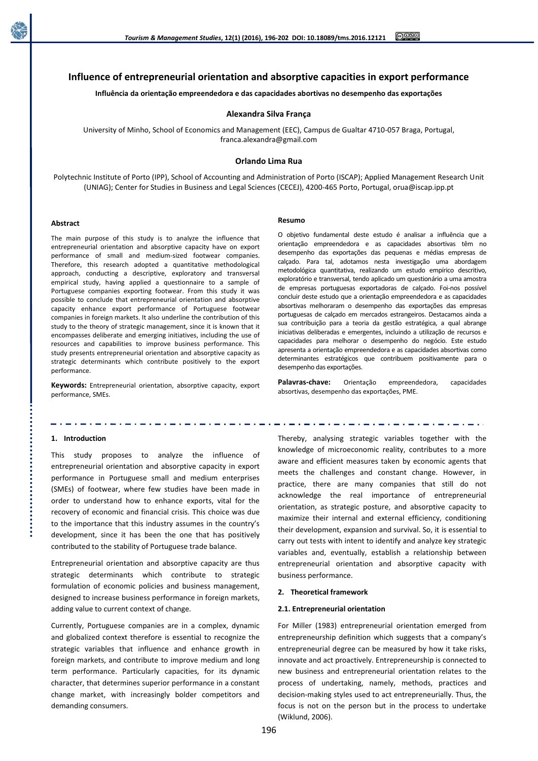

# **Influence of entrepreneurial orientation and absorptive capacities in export performance**

# **Influência da orientação empreendedora e das capacidades abortivas no desempenho das exportações**

## **Alexandra Silva França**

University of Minho, School of Economics and Management (EEC), Campus de Gualtar 4710-057 Braga, Portugal, franca.alexandra@gmail.com

#### **Orlando Lima Rua**

Polytechnic Institute of Porto (IPP), School of Accounting and Administration of Porto (ISCAP); Applied Management Research Unit (UNIAG); Center for Studies in Business and Legal Sciences (CECEJ), 4200-465 Porto, Portugal, orua@iscap.ipp.pt

#### **Abstract**

The main purpose of this study is to analyze the influence that entrepreneurial orientation and absorptive capacity have on export performance of small and medium-sized footwear companies. Therefore, this research adopted a quantitative methodological approach, conducting a descriptive, exploratory and transversal empirical study, having applied a questionnaire to a sample of Portuguese companies exporting footwear. From this study it was possible to conclude that entrepreneurial orientation and absorptive capacity enhance export performance of Portuguese footwear companies in foreign markets. It also underline the contribution of this study to the theory of strategic management, since it is known that it encompasses deliberate and emerging initiatives, including the use of resources and capabilities to improve business performance. This study presents entrepreneurial orientation and absorptive capacity as strategic determinants which contribute positively to the export performance.

**Keywords:** Entrepreneurial orientation, absorptive capacity, export performance, SMEs.

\_\_\_\_\_\_\_\_\_\_\_\_\_\_\_\_\_\_\_\_\_\_\_\_\_\_

#### **1. Introduction**

This study proposes to analyze the influence of entrepreneurial orientation and absorptive capacity in export performance in Portuguese small and medium enterprises (SMEs) of footwear, where few studies have been made in order to understand how to enhance exports, vital for the recovery of economic and financial crisis. This choice was due to the importance that this industry assumes in the country's development, since it has been the one that has positively contributed to the stability of Portuguese trade balance.

Entrepreneurial orientation and absorptive capacity are thus strategic determinants which contribute to strategic formulation of economic policies and business management, designed to increase business performance in foreign markets, adding value to current context of change.

Currently, Portuguese companies are in a complex, dynamic and globalized context therefore is essential to recognize the strategic variables that influence and enhance growth in foreign markets, and contribute to improve medium and long term performance. Particularly capacities, for its dynamic character, that determines superior performance in a constant change market, with increasingly bolder competitors and demanding consumers.

## **Resumo**

O objetivo fundamental deste estudo é analisar a influência que a orientação empreendedora e as capacidades absortivas têm no desempenho das exportações das pequenas e médias empresas de calçado. Para tal, adotamos nesta investigação uma abordagem metodológica quantitativa, realizando um estudo empírico descritivo, exploratório e transversal, tendo aplicado um questionário a uma amostra de empresas portuguesas exportadoras de calçado. Foi-nos possível concluir deste estudo que a orientação empreendedora e as capacidades absortivas melhoraram o desempenho das exportações das empresas portuguesas de calçado em mercados estrangeiros. Destacamos ainda a sua contribuição para a teoria da gestão estratégica, a qual abrange iniciativas deliberadas e emergentes, incluindo a utilização de recursos e capacidades para melhorar o desempenho do negócio. Este estudo apresenta a orientação empreendedora e as capacidades absortivas como determinantes estratégicos que contribuem positivamente para o desempenho das exportações.

**Palavras-chave:** Orientação empreendedora, capacidades absortivas, desempenho das exportações, PME.

a contra con construir a contra con contra con contra con contra con contra con contra con contra con contra c

Thereby, analysing strategic variables together with the knowledge of microeconomic reality, contributes to a more aware and efficient measures taken by economic agents that meets the challenges and constant change. However, in practice, there are many companies that still do not acknowledge the real importance of entrepreneurial orientation, as strategic posture, and absorptive capacity to maximize their internal and external efficiency, conditioning their development, expansion and survival. So, it is essential to carry out tests with intent to identify and analyze key strategic variables and, eventually, establish a relationship between entrepreneurial orientation and absorptive capacity with business performance.

#### **2. Theoretical framework**

## **2.1. Entrepreneurial orientation**

For Miller (1983) entrepreneurial orientation emerged from entrepreneurship definition which suggests that a company's entrepreneurial degree can be measured by how it take risks, innovate and act proactively. Entrepreneurship is connected to new business and entrepreneurial orientation relates to the process of undertaking, namely, methods, practices and decision-making styles used to act entrepreneurially. Thus, the focus is not on the person but in the process to undertake (Wiklund, 2006).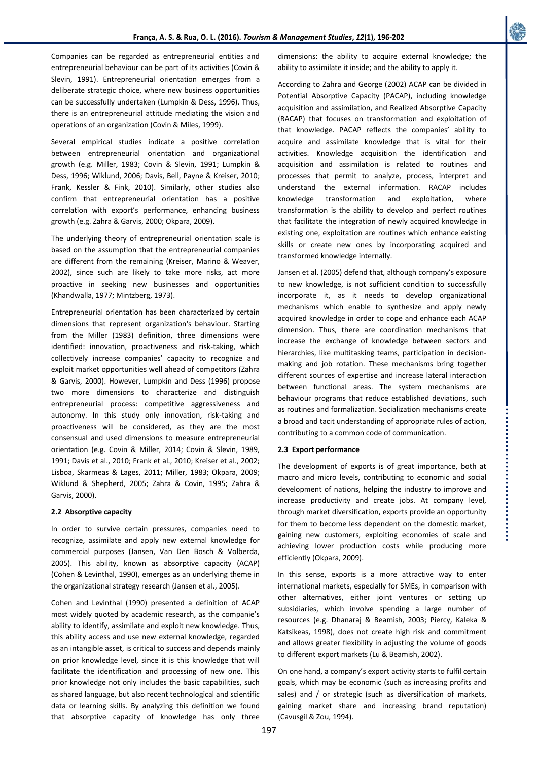Companies can be regarded as entrepreneurial entities and entrepreneurial behaviour can be part of its activities (Covin & Slevin, 1991). Entrepreneurial orientation emerges from a deliberate strategic choice, where new business opportunities can be successfully undertaken (Lumpkin & Dess, 1996). Thus, there is an entrepreneurial attitude mediating the vision and operations of an organization (Covin & Miles, 1999).

Several empirical studies indicate a positive correlation between entrepreneurial orientation and organizational growth (e.g. Miller, 1983; Covin & Slevin, 1991; Lumpkin & Dess, 1996; Wiklund, 2006; Davis, Bell, Payne & Kreiser, 2010; Frank, Kessler & Fink, 2010). Similarly, other studies also confirm that entrepreneurial orientation has a positive correlation with export's performance, enhancing business growth (e.g. Zahra & Garvis, 2000; Okpara, 2009).

The underlying theory of entrepreneurial orientation scale is based on the assumption that the entrepreneurial companies are different from the remaining (Kreiser, Marino & Weaver, 2002), since such are likely to take more risks, act more proactive in seeking new businesses and opportunities (Khandwalla, 1977; Mintzberg, 1973).

Entrepreneurial orientation has been characterized by certain dimensions that represent organization's behaviour. Starting from the Miller (1983) definition, three dimensions were identified: innovation, proactiveness and risk-taking, which collectively increase companies' capacity to recognize and exploit market opportunities well ahead of competitors (Zahra & Garvis, 2000). However, Lumpkin and Dess (1996) propose two more dimensions to characterize and distinguish entrepreneurial process: competitive aggressiveness and autonomy. In this study only innovation, risk-taking and proactiveness will be considered, as they are the most consensual and used dimensions to measure entrepreneurial orientation (e.g. Covin & Miller, 2014; Covin & Slevin, 1989, 1991; Davis et al., 2010; Frank et al., 2010; Kreiser et al., 2002; Lisboa, Skarmeas & Lages, 2011; Miller, 1983; Okpara, 2009; Wiklund & Shepherd, 2005; Zahra & Covin, 1995; Zahra & Garvis, 2000).

#### **2.2 Absorptive capacity**

In order to survive certain pressures, companies need to recognize, assimilate and apply new external knowledge for commercial purposes (Jansen, Van Den Bosch & Volberda, 2005). This ability, known as absorptive capacity (ACAP) (Cohen & Levinthal, 1990), emerges as an underlying theme in the organizational strategy research (Jansen et al., 2005).

Cohen and Levinthal (1990) presented a definition of ACAP most widely quoted by academic research, as the companie's ability to identify, assimilate and exploit new knowledge. Thus, this ability access and use new external knowledge, regarded as an intangible asset, is critical to success and depends mainly on prior knowledge level, since it is this knowledge that will facilitate the identification and processing of new one. This prior knowledge not only includes the basic capabilities, such as shared language, but also recent technological and scientific data or learning skills. By analyzing this definition we found that absorptive capacity of knowledge has only three

dimensions: the ability to acquire external knowledge; the ability to assimilate it inside; and the ability to apply it.

According to Zahra and George (2002) ACAP can be divided in Potential Absorptive Capacity (PACAP), including knowledge acquisition and assimilation, and Realized Absorptive Capacity (RACAP) that focuses on transformation and exploitation of that knowledge. PACAP reflects the companies' ability to acquire and assimilate knowledge that is vital for their activities. Knowledge acquisition the identification and acquisition and assimilation is related to routines and processes that permit to analyze, process, interpret and understand the external information. RACAP includes knowledge transformation and exploitation, where transformation is the ability to develop and perfect routines that facilitate the integration of newly acquired knowledge in existing one, exploitation are routines which enhance existing skills or create new ones by incorporating acquired and transformed knowledge internally.

Jansen et al. (2005) defend that, although company's exposure to new knowledge, is not sufficient condition to successfully incorporate it, as it needs to develop organizational mechanisms which enable to synthesize and apply newly acquired knowledge in order to cope and enhance each ACAP dimension. Thus, there are coordination mechanisms that increase the exchange of knowledge between sectors and hierarchies, like multitasking teams, participation in decisionmaking and job rotation. These mechanisms bring together different sources of expertise and increase lateral interaction between functional areas. The system mechanisms are behaviour programs that reduce established deviations, such as routines and formalization. Socialization mechanisms create a broad and tacit understanding of appropriate rules of action, contributing to a common code of communication.

#### **2.3 Export performance**

The development of exports is of great importance, both at macro and micro levels, contributing to economic and social development of nations, helping the industry to improve and increase productivity and create jobs. At company level, through market diversification, exports provide an opportunity for them to become less dependent on the domestic market, gaining new customers, exploiting economies of scale and achieving lower production costs while producing more efficiently (Okpara, 2009).

In this sense, exports is a more attractive way to enter international markets, especially for SMEs, in comparison with other alternatives, either joint ventures or setting up subsidiaries, which involve spending a large number of resources (e.g. Dhanaraj & Beamish, 2003; Piercy, Kaleka & Katsikeas, 1998), does not create high risk and commitment and allows greater flexibility in adjusting the volume of goods to different export markets (Lu & Beamish, 2002).

On one hand, a company's export activity starts to fulfil certain goals, which may be economic (such as increasing profits and sales) and / or strategic (such as diversification of markets, gaining market share and increasing brand reputation) (Cavusgil & Zou, 1994).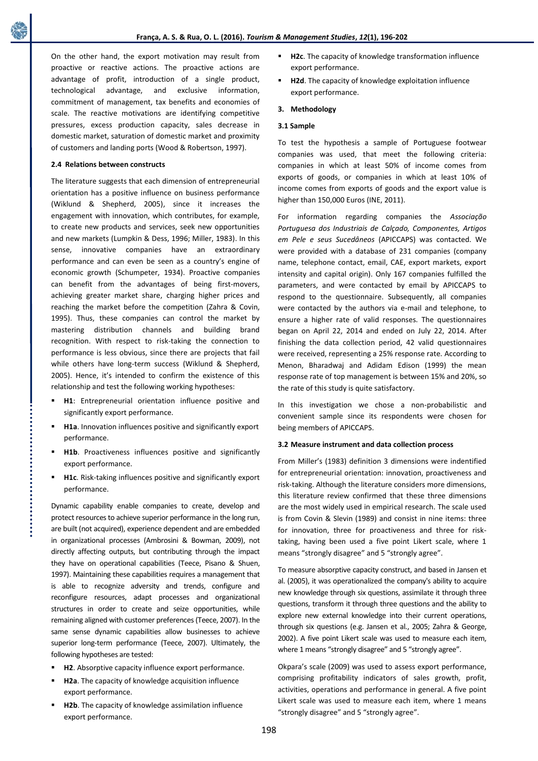On the other hand, the export motivation may result from proactive or reactive actions. The proactive actions are advantage of profit, introduction of a single product, technological advantage, and exclusive information, commitment of management, tax benefits and economies of scale. The reactive motivations are identifying competitive pressures, excess production capacity, sales decrease in domestic market, saturation of domestic market and proximity of customers and landing ports (Wood & Robertson, 1997).

# **2.4 Relations between constructs**

The literature suggests that each dimension of entrepreneurial orientation has a positive influence on business performance (Wiklund & Shepherd, 2005), since it increases the engagement with innovation, which contributes, for example, to create new products and services, seek new opportunities and new markets (Lumpkin & Dess, 1996; Miller, 1983). In this sense, innovative companies have an extraordinary performance and can even be seen as a country's engine of economic growth (Schumpeter, 1934). Proactive companies can benefit from the advantages of being first-movers, achieving greater market share, charging higher prices and reaching the market before the competition (Zahra & Covin, 1995). Thus, these companies can control the market by mastering distribution channels and building brand recognition. With respect to risk-taking the connection to performance is less obvious, since there are projects that fail while others have long-term success (Wiklund & Shepherd, 2005). Hence, it's intended to confirm the existence of this relationship and test the following working hypotheses:

- **H1**: Entrepreneurial orientation influence positive and significantly export performance.
- **H1a**. Innovation influences positive and significantly export performance.
- **H1b**. Proactiveness influences positive and significantly export performance.
- **H1c**. Risk-taking influences positive and significantly export performance.

Dynamic capability enable companies to create, develop and protect resources to achieve superior performance in the long run, are built (not acquired), experience dependent and are embedded in organizational processes (Ambrosini & Bowman, 2009), not directly affecting outputs, but contributing through the impact they have on operational capabilities (Teece, Pisano & Shuen, 1997). Maintaining these capabilities requires a management that is able to recognize adversity and trends, configure and reconfigure resources, adapt processes and organizational structures in order to create and seize opportunities, while remaining aligned with customer preferences (Teece, 2007). In the same sense dynamic capabilities allow businesses to achieve superior long-term performance (Teece, 2007). Ultimately, the following hypotheses are tested:

- **H2**. Absorptive capacity influence export performance.
- **H2a**. The capacity of knowledge acquisition influence export performance.
- **H2b**. The capacity of knowledge assimilation influence export performance.
- **H2c**. The capacity of knowledge transformation influence export performance.
- **H2d**. The capacity of knowledge exploitation influence export performance.

# **3. Methodology**

# **3.1 Sample**

To test the hypothesis a sample of Portuguese footwear companies was used, that meet the following criteria: companies in which at least 50% of income comes from exports of goods, or companies in which at least 10% of income comes from exports of goods and the export value is higher than 150,000 Euros (INE, 2011).

For information regarding companies the *Associação Portuguesa dos Industriais de Calçado, Componentes, Artigos em Pele e seus Sucedâneos* (APICCAPS) was contacted. We were provided with a database of 231 companies (company name, telephone contact, email, CAE, export markets, export intensity and capital origin). Only 167 companies fulfilled the parameters, and were contacted by email by APICCAPS to respond to the questionnaire. Subsequently, all companies were contacted by the authors via e-mail and telephone, to ensure a higher rate of valid responses. The questionnaires began on April 22, 2014 and ended on July 22, 2014. After finishing the data collection period, 42 valid questionnaires were received, representing a 25% response rate. According to Menon, Bharadwaj and Adidam Edison (1999) the mean response rate of top management is between 15% and 20%, so the rate of this study is quite satisfactory.

In this investigation we chose a non-probabilistic and convenient sample since its respondents were chosen for being members of APICCAPS.

## **3.2 Measure instrument and data collection process**

From Miller's (1983) definition 3 dimensions were indentified for entrepreneurial orientation: innovation, proactiveness and risk-taking. Although the literature considers more dimensions, this literature review confirmed that these three dimensions are the most widely used in empirical research. The scale used is from Covin & Slevin (1989) and consist in nine items: three for innovation, three for proactiveness and three for risktaking, having been used a five point Likert scale, where 1 means "strongly disagree" and 5 "strongly agree".

To measure absorptive capacity construct, and based in Jansen et al. (2005), it was operationalized the company's ability to acquire new knowledge through six questions, assimilate it through three questions, transform it through three questions and the ability to explore new external knowledge into their current operations, through six questions (e.g. Jansen et al., 2005; Zahra & George, 2002). A five point Likert scale was used to measure each item, where 1 means "strongly disagree" and 5 "strongly agree".

Okpara's scale (2009) was used to assess export performance, comprising profitability indicators of sales growth, profit, activities, operations and performance in general. A five point Likert scale was used to measure each item, where 1 means "strongly disagree" and 5 "strongly agree".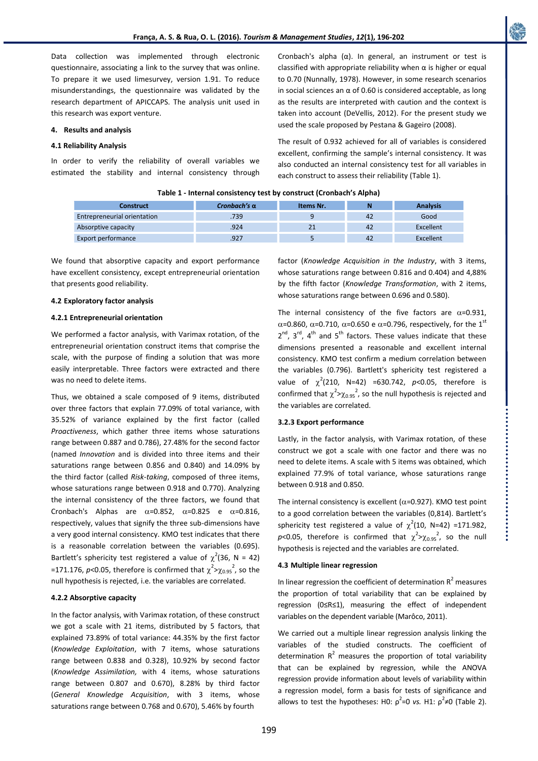..............................

Data collection was implemented through electronic questionnaire, associating a link to the survey that was online. To prepare it we used limesurvey, version 1.91. To reduce misunderstandings, the questionnaire was validated by the research department of APICCAPS. The analysis unit used in this research was export venture.

## **4. Results and analysis**

# **4.1 Reliability Analysis**

In order to verify the reliability of overall variables we estimated the stability and internal consistency through Cronbach's alpha (α). In general, an instrument or test is classified with appropriate reliability when  $\alpha$  is higher or equal to 0.70 (Nunnally, 1978). However, in some research scenarios in social sciences an α of 0.60 is considered acceptable, as long as the results are interpreted with caution and the context is taken into account (DeVellis, 2012). For the present study we used the scale proposed by Pestana & Gageiro (2008).

The result of 0.932 achieved for all of variables is considered excellent, confirming the sample's internal consistency. It was also conducted an internal consistency test for all variables in each construct to assess their reliability (Table 1).

| Construct                   | Cronbach's $\alpha$ | Items Nr. |    | <b>Analysis</b> |
|-----------------------------|---------------------|-----------|----|-----------------|
| Entrepreneurial orientation | .739                |           | 42 | Good            |
| Absorptive capacity         | .924                |           | 42 | Excellent       |
| Export performance          |                     |           | 42 | Excellent       |

**Table 1 - Internal consistency test by construct (Cronbach's Alpha)**

We found that absorptive capacity and export performance have excellent consistency, except entrepreneurial orientation that presents good reliability.

## **4.2 Exploratory factor analysis**

#### **4.2.1 Entrepreneurial orientation**

We performed a factor analysis, with Varimax rotation, of the entrepreneurial orientation construct items that comprise the scale, with the purpose of finding a solution that was more easily interpretable. Three factors were extracted and there was no need to delete items.

Thus, we obtained a scale composed of 9 items, distributed over three factors that explain 77.09% of total variance, with 35.52% of variance explained by the first factor (called *Proactiveness*, which gather three items whose saturations range between 0.887 and 0.786), 27.48% for the second factor (named *Innovation* and is divided into three items and their saturations range between 0.856 and 0.840) and 14.09% by the third factor (called *Risk-taking*, composed of three items, whose saturations range between 0.918 and 0.770). Analyzing the internal consistency of the three factors, we found that Cronbach's Alphas are  $\alpha$ =0.852,  $\alpha$ =0.825 e  $\alpha$ =0.816, respectively, values that signify the three sub-dimensions have a very good internal consistency. KMO test indicates that there is a reasonable correlation between the variables (0.695). Bartlett's sphericity test registered a value of  $\chi^2(36, N = 42)$ =171.176,  $p$ <0.05, therefore is confirmed that  $\chi^2$ > $\chi_{0.95}^2$ , so the null hypothesis is rejected, i.e. the variables are correlated.

# **4.2.2 Absorptive capacity**

In the factor analysis, with Varimax rotation, of these construct we got a scale with 21 items, distributed by 5 factors, that explained 73.89% of total variance: 44.35% by the first factor (*Knowledge Exploitation*, with 7 items, whose saturations range between 0.838 and 0.328), 10.92% by second factor (*Knowledge Assimilation,* with 4 items, whose saturations range between 0.807 and 0.670), 8.28% by third factor (*General Knowledge Acquisition*, with 3 items, whose saturations range between 0.768 and 0.670), 5.46% by fourth

factor (*Knowledge Acquisition in the Industry*, with 3 items, whose saturations range between 0.816 and 0.404) and 4,88% by the fifth factor (*Knowledge Transformation*, with 2 items, whose saturations range between 0.696 and 0.580).

The internal consistency of the five factors are  $\alpha$ =0.931,  $\alpha$ =0.860,  $\alpha$ =0.710,  $\alpha$ =0.650 e  $\alpha$ =0.796, respectively, for the 1<sup>st</sup>  $2^{nd}$ ,  $3^{rd}$ ,  $4^{th}$  and  $5^{th}$  factors. These values indicate that these dimensions presented a reasonable and excellent internal consistency. KMO test confirm a medium correlation between the variables (0.796). Bartlett's sphericity test registered a value of  $\chi^2(210, N=42)$  =630.742,  $p<0.05$ , therefore is confirmed that  $\chi^2$  $>\chi_{0.95}^2$ , so the null hypothesis is rejected and the variables are correlated.

## **3.2.3 Export performance**

Lastly, in the factor analysis, with Varimax rotation, of these construct we got a scale with one factor and there was no need to delete items. A scale with 5 items was obtained, which explained 77.9% of total variance, whose saturations range between 0.918 and 0.850.

The internal consistency is excellent ( $\alpha$ =0.927). KMO test point to a good correlation between the variables (0,814). Bartlett's sphericity test registered a value of  $\chi^2(10, N=42)$  =171.982,  $p$ <0.05, therefore is confirmed that  $\chi^2$ > $\chi_{0.95}^2$ , so the null hypothesis is rejected and the variables are correlated.

# **4.3 Multiple linear regression**

In linear regression the coefficient of determination  $R^2$  measures the proportion of total variability that can be explained by regression (0≤R≤1), measuring the effect of independent variables on the dependent variable (Marôco, 2011).

We carried out a multiple linear regression analysis linking the variables of the studied constructs. The coefficient of determination  $R^2$  measures the proportion of total variability that can be explained by regression, while the ANOVA regression provide information about levels of variability within a regression model, form a basis for tests of significance and allows to test the hypotheses: H0:  $\rho^2$ =0 *vs.* H1:  $\rho^2 \neq 0$  (Table 2).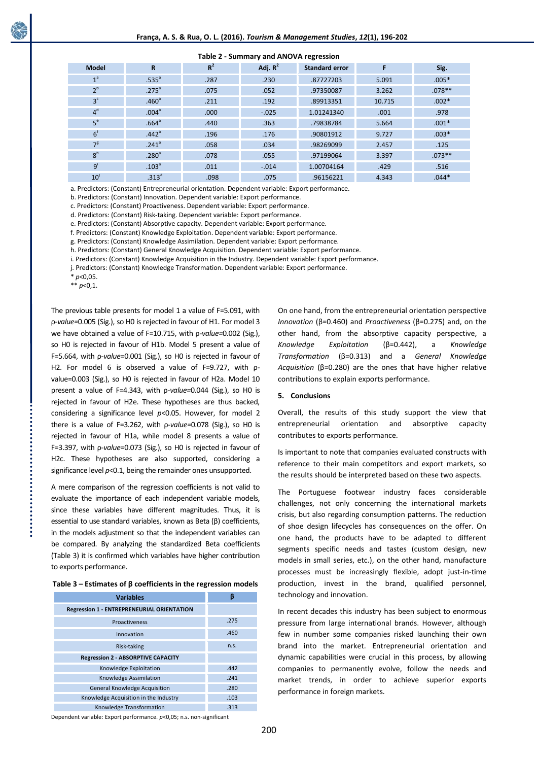| Table 2 - Summary and ANOVA regression |                   |       |            |                       |        |          |
|----------------------------------------|-------------------|-------|------------|-----------------------|--------|----------|
| <b>Model</b>                           | R.                | $R^2$ | Adj. $R^2$ | <b>Standard error</b> | F      | Sig.     |
| 1 <sup>a</sup>                         | .535 <sup>a</sup> | .287  | .230       | .87727203             | 5.091  | $.005*$  |
| $2^{\rm b}$                            | .275 <sup>a</sup> | .075  | .052       | .97350087             | 3.262  | $.078**$ |
| 3 <sup>c</sup>                         | .460 <sup>a</sup> | .211  | .192       | .89913351             | 10.715 | $.002*$  |
| 4 <sup>d</sup>                         | .004 <sup>a</sup> | .000  | $-.025$    | 1.01241340            | .001   | .978     |
| 5 <sup>e</sup>                         | $.664^{\circ}$    | .440  | .363       | .79838784             | 5.664  | $.001*$  |
| 6 <sup>f</sup>                         | .442 <sup>a</sup> | .196  | .176       | .90801912             | 9.727  | $.003*$  |
| 7 <sup>g</sup>                         | .241 <sup>a</sup> | .058  | .034       | .98269099             | 2.457  | .125     |
| 8 <sup>h</sup>                         | .280 <sup>a</sup> | .078  | .055       | .97199064             | 3.397  | $.073**$ |
| 9'                                     | .103 <sup>a</sup> | .011  | $-.014$    | 1.00704164            | .429   | .516     |
| 10 <sup>1</sup>                        | $.313^{a}$        | .098  | .075       | .96156221             | 4.343  | $.044*$  |
|                                        |                   |       |            |                       |        |          |

a. Predictors: (Constant) Entrepreneurial orientation. Dependent variable: Export performance.

b. Predictors: (Constant) Innovation. Dependent variable: Export performance.

c. Predictors: (Constant) Proactiveness. Dependent variable: Export performance.

d. Predictors: (Constant) Risk-taking. Dependent variable: Export performance.

e. Predictors: (Constant) Absorptive capacity. Dependent variable: Export performance.

f. Predictors: (Constant) Knowledge Exploitation. Dependent variable: Export performance.

g. Predictors: (Constant) Knowledge Assimilation. Dependent variable: Export performance.

h. Predictors: (Constant) General Knowledge Acquisition. Dependent variable: Export performance.

i. Predictors: (Constant) Knowledge Acquisition in the Industry. Dependent variable: Export performance.

j. Predictors: (Constant) Knowledge Transformation. Dependent variable: Export performance.

\* *p*<0,05.

\*\* *p*<0,1.

The previous table presents for model 1 a value of F=5.091, with ρ-*value=*0.005 (Sig.), so H0 is rejected in favour of H1. For model 3 we have obtained a value of F=10.715, with ρ-*value=*0.002 (Sig.), so H0 is rejected in favour of H1b. Model 5 present a value of F=5.664, with ρ-*value=*0.001 (Sig.), so H0 is rejected in favour of H2. For model 6 is observed a value of F=9.727, with ρvalue=0.003 (Sig.), so H0 is rejected in favour of H2a. Model 10 present a value of F=4.343, with ρ-*value=*0.044 (Sig.), so H0 is rejected in favour of H2e. These hypotheses are thus backed, considering a significance level *p*<0.05. However, for model 2 there is a value of F=3.262, with ρ-*value=*0.078 (Sig.), so H0 is rejected in favour of H1a, while model 8 presents a value of F=3.397, with ρ-*value=*0.073 (Sig.), so H0 is rejected in favour of H2c. These hypotheses are also supported, considering a significance level *p*<0.1, being the remainder ones unsupported.

A mere comparison of the regression coefficients is not valid to evaluate the importance of each independent variable models, since these variables have different magnitudes. Thus, it is essential to use standard variables, known as Beta (β) coefficients, in the models adjustment so that the independent variables can be compared. By analyzing the standardized Beta coefficients (Table 3) it is confirmed which variables have higher contribution to exports performance.

| Table 3 – Estimates of $\boldsymbol{\beta}$ coefficients in the regression models |  |  |  |  |  |
|-----------------------------------------------------------------------------------|--|--|--|--|--|
|-----------------------------------------------------------------------------------|--|--|--|--|--|

| <b>Variables</b>                                  | ß    |
|---------------------------------------------------|------|
| <b>Regression 1 - ENTREPRENEURIAL ORIENTATION</b> |      |
| <b>Proactiveness</b>                              | .275 |
| Innovation                                        | .460 |
| Risk-taking                                       | n.s. |
| <b>Regression 2 - ABSORPTIVE CAPACITY</b>         |      |
| Knowledge Exploitation                            | .442 |
| Knowledge Assimilation                            | .241 |
| <b>General Knowledge Acquisition</b>              | .280 |
| Knowledge Acquisition in the Industry             | .103 |
| Knowledge Transformation                          | .313 |

On one hand, from the entrepreneurial orientation perspective *Innovation* (β=0.460) and *Proactiveness* (β=0.275) and, on the other hand, from the absorptive capacity perspective, a *Knowledge Exploitation* (β=0.442), a *Knowledge Transformation* (β=0.313) and a *General Knowledge Acquisition* (β=0.280) are the ones that have higher relative contributions to explain exports performance.

## **5. Conclusions**

Overall, the results of this study support the view that entrepreneurial orientation and absorptive capacity contributes to exports performance.

Is important to note that companies evaluated constructs with reference to their main competitors and export markets, so the results should be interpreted based on these two aspects.

The Portuguese footwear industry faces considerable challenges, not only concerning the international markets crisis, but also regarding consumption patterns. The reduction of shoe design lifecycles has consequences on the offer. On one hand, the products have to be adapted to different segments specific needs and tastes (custom design, new models in small series, etc.), on the other hand, manufacture processes must be increasingly flexible, adopt just-in-time production, invest in the brand, qualified personnel, technology and innovation.

In recent decades this industry has been subject to enormous pressure from large international brands. However, although few in number some companies risked launching their own brand into the market. Entrepreneurial orientation and dynamic capabilities were crucial in this process, by allowing companies to permanently evolve, follow the needs and market trends, in order to achieve superior exports performance in foreign markets.

Dependent variable: Export performance. *p*<0,05; n.s. non-significant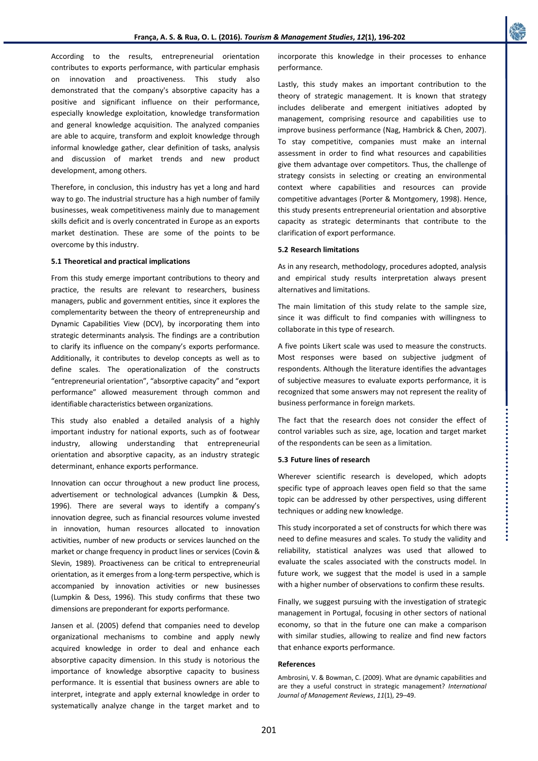According to the results, entrepreneurial orientation contributes to exports performance, with particular emphasis on innovation and proactiveness. This study also demonstrated that the company's absorptive capacity has a positive and significant influence on their performance, especially knowledge exploitation, knowledge transformation and general knowledge acquisition. The analyzed companies are able to acquire, transform and exploit knowledge through informal knowledge gather, clear definition of tasks, analysis and discussion of market trends and new product development, among others.

Therefore, in conclusion, this industry has yet a long and hard way to go. The industrial structure has a high number of family businesses, weak competitiveness mainly due to management skills deficit and is overly concentrated in Europe as an exports market destination. These are some of the points to be overcome by this industry.

# **5.1 Theoretical and practical implications**

From this study emerge important contributions to theory and practice, the results are relevant to researchers, business managers, public and government entities, since it explores the complementarity between the theory of entrepreneurship and Dynamic Capabilities View (DCV), by incorporating them into strategic determinants analysis. The findings are a contribution to clarify its influence on the company's exports performance. Additionally, it contributes to develop concepts as well as to define scales. The operationalization of the constructs "entrepreneurial orientation", "absorptive capacity" and "export performance" allowed measurement through common and identifiable characteristics between organizations.

This study also enabled a detailed analysis of a highly important industry for national exports, such as of footwear industry, allowing understanding that entrepreneurial orientation and absorptive capacity, as an industry strategic determinant, enhance exports performance.

Innovation can occur throughout a new product line process, advertisement or technological advances (Lumpkin & Dess, 1996). There are several ways to identify a company's innovation degree, such as financial resources volume invested in innovation, human resources allocated to innovation activities, number of new products or services launched on the market or change frequency in product lines or services (Covin & Slevin, 1989). Proactiveness can be critical to entrepreneurial orientation, as it emerges from a long-term perspective, which is accompanied by innovation activities or new businesses (Lumpkin & Dess, 1996). This study confirms that these two dimensions are preponderant for exports performance.

Jansen et al. (2005) defend that companies need to develop organizational mechanisms to combine and apply newly acquired knowledge in order to deal and enhance each absorptive capacity dimension. In this study is notorious the importance of knowledge absorptive capacity to business performance. It is essential that business owners are able to interpret, integrate and apply external knowledge in order to systematically analyze change in the target market and to

incorporate this knowledge in their processes to enhance performance.

Lastly, this study makes an important contribution to the theory of strategic management. It is known that strategy includes deliberate and emergent initiatives adopted by management, comprising resource and capabilities use to improve business performance (Nag, Hambrick & Chen, 2007). To stay competitive, companies must make an internal assessment in order to find what resources and capabilities give them advantage over competitors. Thus, the challenge of strategy consists in selecting or creating an environmental context where capabilities and resources can provide competitive advantages (Porter & Montgomery, 1998). Hence, this study presents entrepreneurial orientation and absorptive capacity as strategic determinants that contribute to the clarification of export performance.

#### **5.2 Research limitations**

As in any research, methodology, procedures adopted, analysis and empirical study results interpretation always present alternatives and limitations.

The main limitation of this study relate to the sample size, since it was difficult to find companies with willingness to collaborate in this type of research.

A five points Likert scale was used to measure the constructs. Most responses were based on subjective judgment of respondents. Although the literature identifies the advantages of subjective measures to evaluate exports performance, it is recognized that some answers may not represent the reality of business performance in foreign markets.

The fact that the research does not consider the effect of control variables such as size, age, location and target market of the respondents can be seen as a limitation.

# **5.3 Future lines of research**

Wherever scientific research is developed, which adopts specific type of approach leaves open field so that the same topic can be addressed by other perspectives, using different techniques or adding new knowledge.

This study incorporated a set of constructs for which there was need to define measures and scales. To study the validity and reliability, statistical analyzes was used that allowed to evaluate the scales associated with the constructs model. In future work, we suggest that the model is used in a sample with a higher number of observations to confirm these results.

Finally, we suggest pursuing with the investigation of strategic management in Portugal, focusing in other sectors of national economy, so that in the future one can make a comparison with similar studies, allowing to realize and find new factors that enhance exports performance.

#### **References**

Ambrosini, V. & Bowman, C. (2009). What are dynamic capabilities and are they a useful construct in strategic management? *International Journal of Management Reviews*, *11*(1), 29–49.